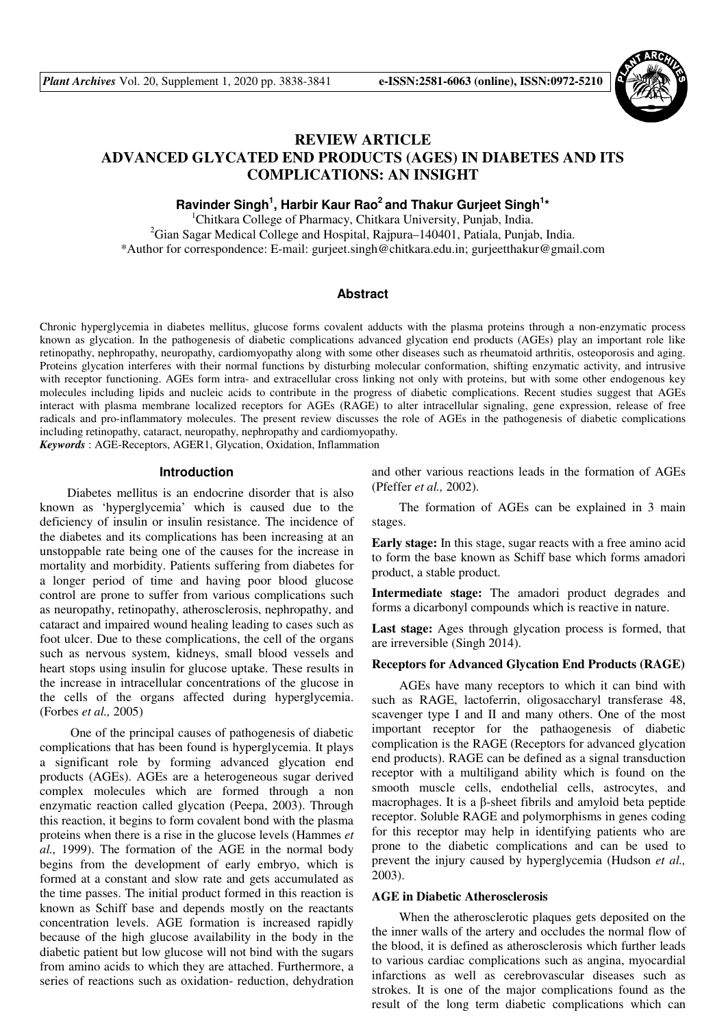

# **REVIEW ARTICLE ADVANCED GLYCATED END PRODUCTS (AGES) IN DIABETES AND ITS COMPLICATIONS: AN INSIGHT**

Ravinder Singh<sup>1</sup>, Harbir Kaur Rao<sup>2</sup> and Thakur Gurjeet Singh<sup>1</sup>\*

<sup>1</sup>Chitkara College of Pharmacy, Chitkara University, Punjab, India. <sup>2</sup>Gian Sagar Medical College and Hospital, Rajpura–140401, Patiala, Punjab, India. \*Author for correspondence: E-mail: gurjeet.singh@chitkara.edu.in; gurjeetthakur@gmail.com

#### **Abstract**

Chronic hyperglycemia in diabetes mellitus, glucose forms covalent adducts with the plasma proteins through a non-enzymatic process known as glycation. In the pathogenesis of diabetic complications advanced glycation end products (AGEs) play an important role like retinopathy, nephropathy, neuropathy, cardiomyopathy along with some other diseases such as rheumatoid arthritis, osteoporosis and aging. Proteins glycation interferes with their normal functions by disturbing molecular conformation, shifting enzymatic activity, and intrusive with receptor functioning. AGEs form intra- and extracellular cross linking not only with proteins, but with some other endogenous key molecules including lipids and nucleic acids to contribute in the progress of diabetic complications. Recent studies suggest that AGEs interact with plasma membrane localized receptors for AGEs (RAGE) to alter intracellular signaling, gene expression, release of free radicals and pro-inflammatory molecules. The present review discusses the role of AGEs in the pathogenesis of diabetic complications including retinopathy, cataract, neuropathy, nephropathy and cardiomyopathy. *Keywords* : AGE-Receptors, AGER1, Glycation, Oxidation, Inflammation

**Introduction** 

Diabetes mellitus is an endocrine disorder that is also known as 'hyperglycemia' which is caused due to the deficiency of insulin or insulin resistance. The incidence of the diabetes and its complications has been increasing at an unstoppable rate being one of the causes for the increase in mortality and morbidity. Patients suffering from diabetes for a longer period of time and having poor blood glucose control are prone to suffer from various complications such as neuropathy, retinopathy, atherosclerosis, nephropathy, and cataract and impaired wound healing leading to cases such as foot ulcer. Due to these complications, the cell of the organs such as nervous system, kidneys, small blood vessels and heart stops using insulin for glucose uptake. These results in the increase in intracellular concentrations of the glucose in the cells of the organs affected during hyperglycemia. (Forbes *et al.,* 2005)

 One of the principal causes of pathogenesis of diabetic complications that has been found is hyperglycemia. It plays a significant role by forming advanced glycation end products (AGEs). AGEs are a heterogeneous sugar derived complex molecules which are formed through a non enzymatic reaction called glycation (Peepa, 2003). Through this reaction, it begins to form covalent bond with the plasma proteins when there is a rise in the glucose levels (Hammes *et al.,* 1999). The formation of the AGE in the normal body begins from the development of early embryo, which is formed at a constant and slow rate and gets accumulated as the time passes. The initial product formed in this reaction is known as Schiff base and depends mostly on the reactants concentration levels. AGE formation is increased rapidly because of the high glucose availability in the body in the diabetic patient but low glucose will not bind with the sugars from amino acids to which they are attached. Furthermore, a series of reactions such as oxidation- reduction, dehydration

and other various reactions leads in the formation of AGEs (Pfeffer *et al.,* 2002).

The formation of AGEs can be explained in 3 main stages.

**Early stage:** In this stage, sugar reacts with a free amino acid to form the base known as Schiff base which forms amadori product, a stable product.

**Intermediate stage:** The amadori product degrades and forms a dicarbonyl compounds which is reactive in nature.

**Last stage:** Ages through glycation process is formed, that are irreversible (Singh 2014).

### **Receptors for Advanced Glycation End Products (RAGE)**

AGEs have many receptors to which it can bind with such as RAGE, lactoferrin, oligosaccharyl transferase 48, scavenger type I and II and many others. One of the most important receptor for the pathaogenesis of diabetic complication is the RAGE (Receptors for advanced glycation end products). RAGE can be defined as a signal transduction receptor with a multiligand ability which is found on the smooth muscle cells, endothelial cells, astrocytes, and macrophages. It is a β-sheet fibrils and amyloid beta peptide receptor. Soluble RAGE and polymorphisms in genes coding for this receptor may help in identifying patients who are prone to the diabetic complications and can be used to prevent the injury caused by hyperglycemia (Hudson *et al.,* 2003).

#### **AGE in Diabetic Atherosclerosis**

When the atherosclerotic plaques gets deposited on the the inner walls of the artery and occludes the normal flow of the blood, it is defined as atherosclerosis which further leads to various cardiac complications such as angina, myocardial infarctions as well as cerebrovascular diseases such as strokes. It is one of the major complications found as the result of the long term diabetic complications which can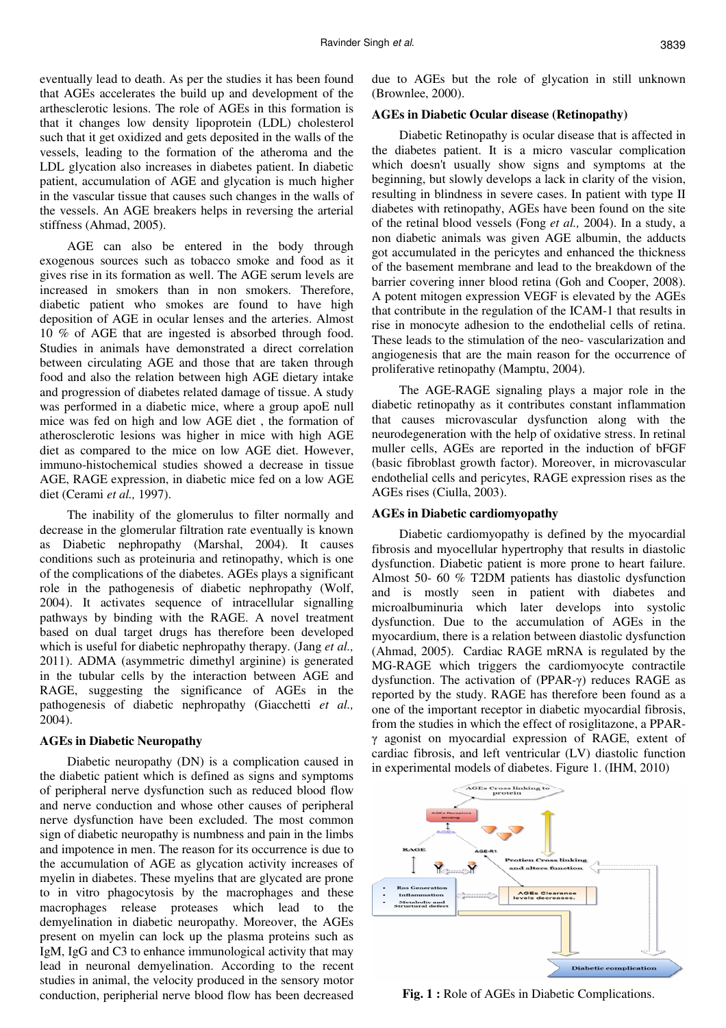eventually lead to death. As per the studies it has been found that AGEs accelerates the build up and development of the arthesclerotic lesions. The role of AGEs in this formation is that it changes low density lipoprotein (LDL) cholesterol such that it get oxidized and gets deposited in the walls of the vessels, leading to the formation of the atheroma and the LDL glycation also increases in diabetes patient. In diabetic patient, accumulation of AGE and glycation is much higher in the vascular tissue that causes such changes in the walls of the vessels. An AGE breakers helps in reversing the arterial stiffness (Ahmad, 2005).

AGE can also be entered in the body through exogenous sources such as tobacco smoke and food as it gives rise in its formation as well. The AGE serum levels are increased in smokers than in non smokers. Therefore, diabetic patient who smokes are found to have high deposition of AGE in ocular lenses and the arteries. Almost 10 % of AGE that are ingested is absorbed through food. Studies in animals have demonstrated a direct correlation between circulating AGE and those that are taken through food and also the relation between high AGE dietary intake and progression of diabetes related damage of tissue. A study was performed in a diabetic mice, where a group apoE null mice was fed on high and low AGE diet , the formation of atherosclerotic lesions was higher in mice with high AGE diet as compared to the mice on low AGE diet. However, immuno-histochemical studies showed a decrease in tissue AGE, RAGE expression, in diabetic mice fed on a low AGE diet (Cerami *et al.,* 1997).

The inability of the glomerulus to filter normally and decrease in the glomerular filtration rate eventually is known as Diabetic nephropathy (Marshal, 2004). It causes conditions such as proteinuria and retinopathy, which is one of the complications of the diabetes. AGEs plays a significant role in the pathogenesis of diabetic nephropathy (Wolf, 2004). It activates sequence of intracellular signalling pathways by binding with the RAGE. A novel treatment based on dual target drugs has therefore been developed which is useful for diabetic nephropathy therapy. (Jang *et al.,* 2011). ADMA (asymmetric dimethyl arginine) is generated in the tubular cells by the interaction between AGE and RAGE, suggesting the significance of AGEs in the pathogenesis of diabetic nephropathy (Giacchetti *et al.,* 2004).

#### **AGEs in Diabetic Neuropathy**

Diabetic neuropathy (DN) is a complication caused in the diabetic patient which is defined as signs and symptoms of peripheral nerve dysfunction such as reduced blood flow and nerve conduction and whose other causes of peripheral nerve dysfunction have been excluded. The most common sign of diabetic neuropathy is numbness and pain in the limbs and impotence in men. The reason for its occurrence is due to the accumulation of AGE as glycation activity increases of myelin in diabetes. These myelins that are glycated are prone to in vitro phagocytosis by the macrophages and these macrophages release proteases which lead to the demyelination in diabetic neuropathy. Moreover, the AGEs present on myelin can lock up the plasma proteins such as IgM, IgG and C3 to enhance immunological activity that may lead in neuronal demyelination. According to the recent studies in animal, the velocity produced in the sensory motor conduction, peripherial nerve blood flow has been decreased due to AGEs but the role of glycation in still unknown (Brownlee, 2000).

#### **AGEs in Diabetic Ocular disease (Retinopathy)**

Diabetic Retinopathy is ocular disease that is affected in the diabetes patient. It is a micro vascular complication which doesn't usually show signs and symptoms at the beginning, but slowly develops a lack in clarity of the vision, resulting in blindness in severe cases. In patient with type II diabetes with retinopathy, AGEs have been found on the site of the retinal blood vessels (Fong *et al.,* 2004). In a study, a non diabetic animals was given AGE albumin, the adducts got accumulated in the pericytes and enhanced the thickness of the basement membrane and lead to the breakdown of the barrier covering inner blood retina (Goh and Cooper, 2008). A potent mitogen expression VEGF is elevated by the AGEs that contribute in the regulation of the ICAM-1 that results in rise in monocyte adhesion to the endothelial cells of retina. These leads to the stimulation of the neo- vascularization and angiogenesis that are the main reason for the occurrence of proliferative retinopathy (Mamptu, 2004).

The AGE-RAGE signaling plays a major role in the diabetic retinopathy as it contributes constant inflammation that causes microvascular dysfunction along with the neurodegeneration with the help of oxidative stress. In retinal muller cells, AGEs are reported in the induction of bFGF (basic fibroblast growth factor). Moreover, in microvascular endothelial cells and pericytes, RAGE expression rises as the AGEs rises (Ciulla, 2003).

### **AGEs in Diabetic cardiomyopathy**

Diabetic cardiomyopathy is defined by the myocardial fibrosis and myocellular hypertrophy that results in diastolic dysfunction. Diabetic patient is more prone to heart failure. Almost 50- 60 % T2DM patients has diastolic dysfunction and is mostly seen in patient with diabetes and microalbuminuria which later develops into systolic dysfunction. Due to the accumulation of AGEs in the myocardium, there is a relation between diastolic dysfunction (Ahmad, 2005). Cardiac RAGE mRNA is regulated by the MG-RAGE which triggers the cardiomyocyte contractile dysfunction. The activation of (PPAR-γ) reduces RAGE as reported by the study. RAGE has therefore been found as a one of the important receptor in diabetic myocardial fibrosis, from the studies in which the effect of rosiglitazone, a PPARγ agonist on myocardial expression of RAGE, extent of cardiac fibrosis, and left ventricular (LV) diastolic function in experimental models of diabetes. Figure 1. (IHM, 2010)



**Fig. 1 :** Role of AGEs in Diabetic Complications.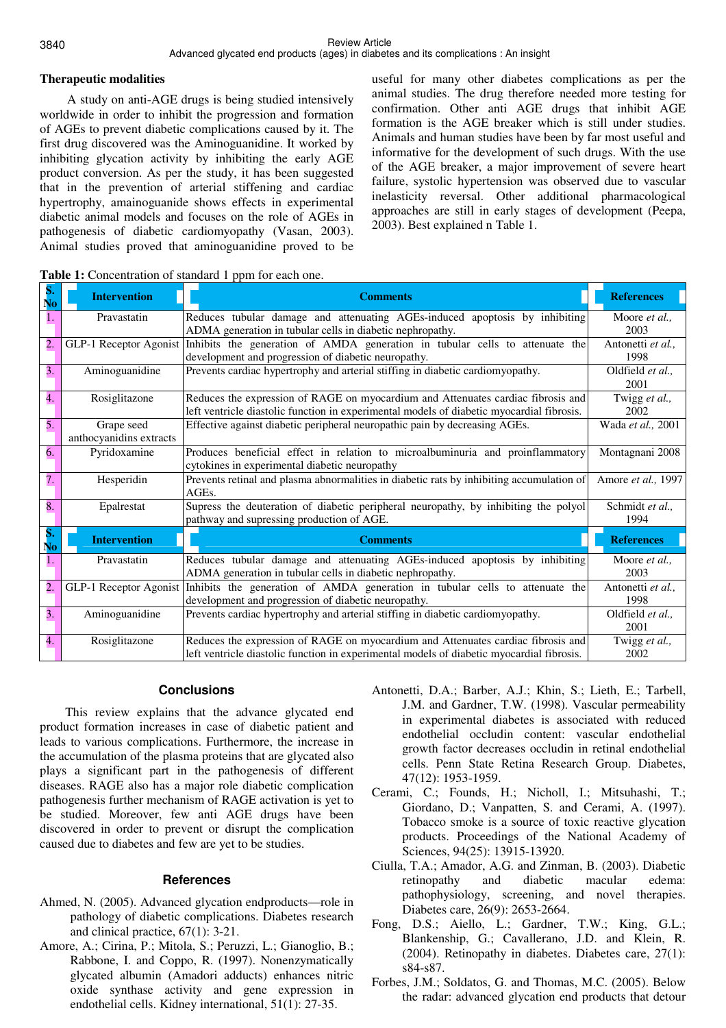### **Therapeutic modalities**

A study on anti-AGE drugs is being studied intensively worldwide in order to inhibit the progression and formation of AGEs to prevent diabetic complications caused by it. The first drug discovered was the Aminoguanidine. It worked by inhibiting glycation activity by inhibiting the early AGE product conversion. As per the study, it has been suggested that in the prevention of arterial stiffening and cardiac hypertrophy, amainoguanide shows effects in experimental diabetic animal models and focuses on the role of AGEs in pathogenesis of diabetic cardiomyopathy (Vasan, 2003). Animal studies proved that aminoguanidine proved to be useful for many other diabetes complications as per the animal studies. The drug therefore needed more testing for confirmation. Other anti AGE drugs that inhibit AGE formation is the AGE breaker which is still under studies. Animals and human studies have been by far most useful and informative for the development of such drugs. With the use of the AGE breaker, a major improvement of severe heart failure, systolic hypertension was observed due to vascular inelasticity reversal. Other additional pharmacological approaches are still in early stages of development (Peepa, 2003). Best explained n Table 1.

| S.<br>No             | <b>Intervention</b>     | <b>Comments</b>                                                                           | <b>References</b>  |
|----------------------|-------------------------|-------------------------------------------------------------------------------------------|--------------------|
| 1.                   | Pravastatin             | Reduces tubular damage and attenuating AGEs-induced apoptosis by inhibiting               | Moore et al.,      |
|                      |                         | ADMA generation in tubular cells in diabetic nephropathy.                                 | 2003               |
| 2.                   | GLP-1 Receptor Agonist  | Inhibits the generation of AMDA generation in tubular cells to attenuate the              | Antonetti et al.,  |
|                      |                         | development and progression of diabetic neuropathy.                                       | 1998               |
| $\overline{3}$ .     | Aminoguanidine          | Prevents cardiac hypertrophy and arterial stiffing in diabetic cardiomyopathy.            | Oldfield et al     |
|                      |                         |                                                                                           | 2001               |
| 4.                   | Rosiglitazone           | Reduces the expression of RAGE on myocardium and Attenuates cardiac fibrosis and          | Twigg et al.,      |
|                      |                         | left ventricle diastolic function in experimental models of diabetic myocardial fibrosis. | 2002               |
| 5.                   | Grape seed              | Effective against diabetic peripheral neuropathic pain by decreasing AGEs.                | Wada et al., 2001  |
|                      | anthocyanidins extracts |                                                                                           |                    |
| 6.                   | Pyridoxamine            | Produces beneficial effect in relation to microalbuminuria and proinflammatory            | Montagnani 2008    |
|                      |                         | cytokines in experimental diabetic neuropathy                                             |                    |
| $\overline{7}$ .     | Hesperidin              | Prevents retinal and plasma abnormalities in diabetic rats by inhibiting accumulation of  | Amore et al., 1997 |
|                      |                         | AGEs.                                                                                     |                    |
| 8.                   | Epalrestat              | Supress the deuteration of diabetic peripheral neuropathy, by inhibiting the polyol       | Schmidt et al.,    |
|                      |                         | pathway and supressing production of AGE.                                                 | 1994               |
| S.<br>N <sub>0</sub> | <b>Intervention</b>     | <b>Comments</b>                                                                           | <b>References</b>  |
| 1.                   | Pravastatin             | Reduces tubular damage and attenuating AGEs-induced apoptosis by inhibiting               | Moore et al.,      |
|                      |                         | ADMA generation in tubular cells in diabetic nephropathy.                                 | 2003               |
| $\overline{2}$ .     | GLP-1 Receptor Agonist  | Inhibits the generation of AMDA generation in tubular cells to attenuate the              | Antonetti et al    |
|                      |                         | development and progression of diabetic neuropathy.                                       | 1998               |
| 3.                   | Aminoguanidine          | Prevents cardiac hypertrophy and arterial stiffing in diabetic cardiomyopathy.            | Oldfield et al     |
|                      |                         |                                                                                           | 2001               |
| 4.                   | Rosiglitazone           | Reduces the expression of RAGE on myocardium and Attenuates cardiac fibrosis and          | Twigg et al.,      |
|                      |                         | left ventricle diastolic function in experimental models of diabetic myocardial fibrosis. | 2002               |

Table 1: Concentration of standard 1 ppm for each one.

# **Conclusions**

 This review explains that the advance glycated end product formation increases in case of diabetic patient and leads to various complications. Furthermore, the increase in the accumulation of the plasma proteins that are glycated also plays a significant part in the pathogenesis of different diseases. RAGE also has a major role diabetic complication pathogenesis further mechanism of RAGE activation is yet to be studied. Moreover, few anti AGE drugs have been discovered in order to prevent or disrupt the complication caused due to diabetes and few are yet to be studies.

# **References**

- Ahmed, N. (2005). Advanced glycation endproducts—role in pathology of diabetic complications. Diabetes research and clinical practice, 67(1): 3-21.
- Amore, A.; Cirina, P.; Mitola, S.; Peruzzi, L.; Gianoglio, B.; Rabbone, I. and Coppo, R. (1997). Nonenzymatically glycated albumin (Amadori adducts) enhances nitric oxide synthase activity and gene expression in endothelial cells. Kidney international, 51(1): 27-35.
- Antonetti, D.A.; Barber, A.J.; Khin, S.; Lieth, E.; Tarbell, J.M. and Gardner, T.W. (1998). Vascular permeability in experimental diabetes is associated with reduced endothelial occludin content: vascular endothelial growth factor decreases occludin in retinal endothelial cells. Penn State Retina Research Group. Diabetes, 47(12): 1953-1959.
- Cerami, C.; Founds, H.; Nicholl, I.; Mitsuhashi, T.; Giordano, D.; Vanpatten, S. and Cerami, A. (1997). Tobacco smoke is a source of toxic reactive glycation products. Proceedings of the National Academy of Sciences, 94(25): 13915-13920.
- Ciulla, T.A.; Amador, A.G. and Zinman, B. (2003). Diabetic retinopathy and diabetic macular edema: pathophysiology, screening, and novel therapies. Diabetes care, 26(9): 2653-2664.
- Fong, D.S.; Aiello, L.; Gardner, T.W.; King, G.L.; Blankenship, G.; Cavallerano, J.D. and Klein, R. (2004). Retinopathy in diabetes. Diabetes care, 27(1): s84-s87.
- Forbes, J.M.; Soldatos, G. and Thomas, M.C. (2005). Below the radar: advanced glycation end products that detour